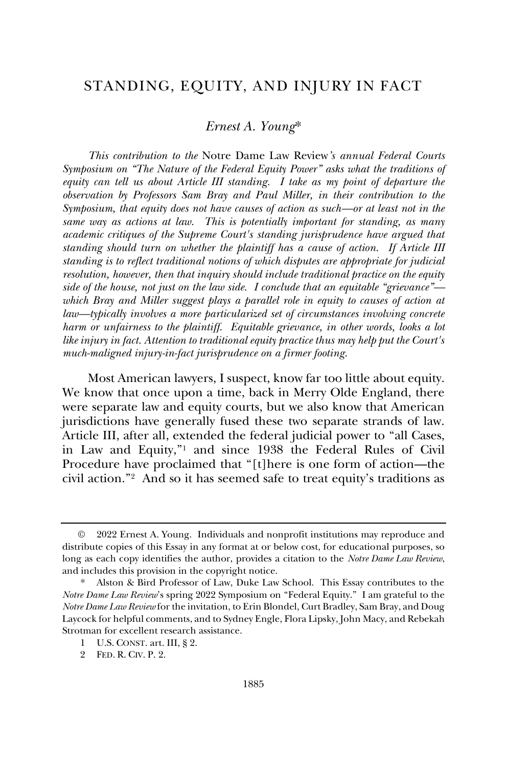# STANDING, EQUITY, AND INJURY IN FACT

## *Ernest A. Young*\*

*This contribution to the* Notre Dame Law Review*'s annual Federal Courts Symposium on "The Nature of the Federal Equity Power" asks what the traditions of equity can tell us about Article III standing. I take as my point of departure the observation by Professors Sam Bray and Paul Miller, in their contribution to the Symposium, that equity does not have causes of action as such—or at least not in the same way as actions at law. This is potentially important for standing, as many academic critiques of the Supreme Court's standing jurisprudence have argued that standing should turn on whether the plaintiff has a cause of action. If Article III standing is to reflect traditional notions of which disputes are appropriate for judicial resolution, however, then that inquiry should include traditional practice on the equity side of the house, not just on the law side. I conclude that an equitable "grievance" which Bray and Miller suggest plays a parallel role in equity to causes of action at law—typically involves a more particularized set of circumstances involving concrete harm or unfairness to the plaintiff. Equitable grievance, in other words, looks a lot like injury in fact. Attention to traditional equity practice thus may help put the Court's much-maligned injury-in-fact jurisprudence on a firmer footing.*

Most American lawyers, I suspect, know far too little about equity. We know that once upon a time, back in Merry Olde England, there were separate law and equity courts, but we also know that American jurisdictions have generally fused these two separate strands of law. Article III, after all, extended the federal judicial power to "all Cases, in Law and Equity,"<sup>1</sup> and since 1938 the Federal Rules of Civil Procedure have proclaimed that "[t]here is one form of action—the civil action."<sup>2</sup> And so it has seemed safe to treat equity's traditions as

<sup>©</sup> 2022 Ernest A. Young. Individuals and nonprofit institutions may reproduce and distribute copies of this Essay in any format at or below cost, for educational purposes, so long as each copy identifies the author, provides a citation to the *Notre Dame Law Review*, and includes this provision in the copyright notice.

Alston & Bird Professor of Law, Duke Law School. This Essay contributes to the *Notre Dame Law Review*'s spring 2022 Symposium on "Federal Equity." I am grateful to the *Notre Dame Law Review* for the invitation, to Erin Blondel, Curt Bradley, Sam Bray, and Doug Laycock for helpful comments, and to Sydney Engle, Flora Lipsky, John Macy, and Rebekah Strotman for excellent research assistance.

<sup>1</sup> U.S. CONST. art. III, § 2.

<sup>2</sup> FED. R. CIV. P. 2.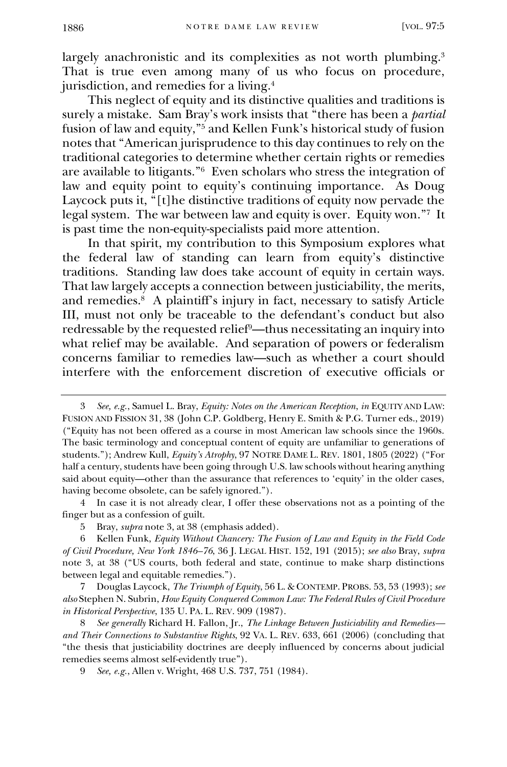largely anachronistic and its complexities as not worth plumbing.<sup>3</sup> That is true even among many of us who focus on procedure, jurisdiction, and remedies for a living.<sup>4</sup>

This neglect of equity and its distinctive qualities and traditions is surely a mistake. Sam Bray's work insists that "there has been a *partial*  fusion of law and equity," <sup>5</sup> and Kellen Funk's historical study of fusion notes that "American jurisprudence to this day continues to rely on the traditional categories to determine whether certain rights or remedies are available to litigants."<sup>6</sup> Even scholars who stress the integration of law and equity point to equity's continuing importance. As Doug Laycock puts it, "[t]he distinctive traditions of equity now pervade the legal system. The war between law and equity is over. Equity won."<sup>7</sup> It is past time the non-equity-specialists paid more attention.

<span id="page-1-0"></span>In that spirit, my contribution to this Symposium explores what the federal law of standing can learn from equity's distinctive traditions. Standing law does take account of equity in certain ways. That law largely accepts a connection between justiciability, the merits, and remedies.<sup>8</sup> A plaintiff's injury in fact, necessary to satisfy Article III, must not only be traceable to the defendant's conduct but also redressable by the requested relief9—thus necessitating an inquiry into what relief may be available. And separation of powers or federalism concerns familiar to remedies law—such as whether a court should interfere with the enforcement discretion of executive officials or

<sup>3</sup> *See, e.g.*, Samuel L. Bray, *Equity: Notes on the American Reception*, *in* EQUITY AND LAW: FUSION AND FISSION 31, 38 (John C.P. Goldberg, Henry E. Smith & P.G. Turner eds., 2019) ("Equity has not been offered as a course in most American law schools since the 1960s. The basic terminology and conceptual content of equity are unfamiliar to generations of students."); Andrew Kull, *Equity's Atrophy*, 97 NOTRE DAME L. REV. 1801, 1805 (2022) ("For half a century, students have been going through U.S. law schools without hearing anything said about equity—other than the assurance that references to 'equity' in the older cases, having become obsolete, can be safely ignored.").

<sup>4</sup> In case it is not already clear, I offer these observations not as a pointing of the finger but as a confession of guilt.

<sup>5</sup> Bray, *supra* note 3, at 38 (emphasis added).

<sup>6</sup> Kellen Funk, *Equity Without Chancery: The Fusion of Law and Equity in the Field Code of Civil Procedure, New York 1846–76*, 36 J. LEGAL HIST. 152, 191 (2015); *see also* Bray, *supra*  note 3, at 38 ("US courts, both federal and state, continue to make sharp distinctions between legal and equitable remedies.").

<sup>7</sup> Douglas Laycock, *The Triumph of Equity*, 56 L. & CONTEMP. PROBS. 53, 53 (1993); *see also* Stephen N. Subrin, *How Equity Conquered Common Law: The Federal Rules of Civil Procedure in Historical Perspective*, 135 U. PA. L. REV. 909 (1987).

<sup>8</sup> *See generally* Richard H. Fallon, Jr., *The Linkage Between Justiciability and Remedies and Their Connections to Substantive Rights*, 92 VA. L. REV. 633, 661 (2006) (concluding that "the thesis that justiciability doctrines are deeply influenced by concerns about judicial remedies seems almost self-evidently true").

<sup>9</sup> *See, e.g.*, Allen v. Wright, 468 U.S. 737, 751 (1984).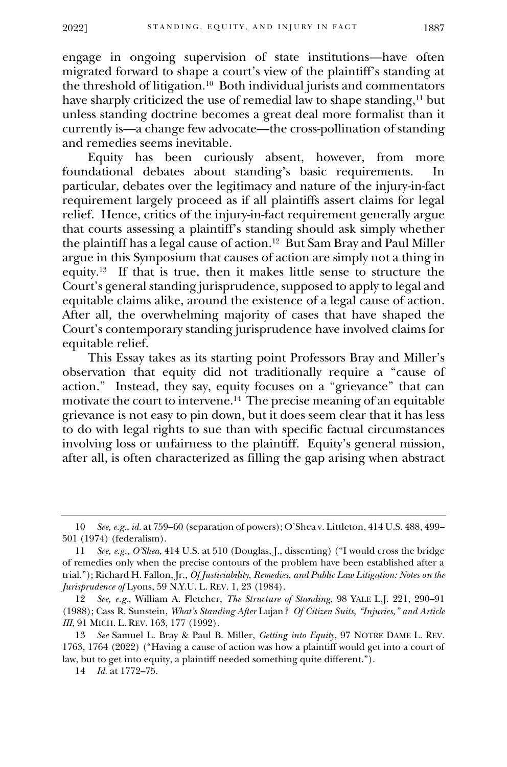engage in ongoing supervision of state institutions—have often migrated forward to shape a court's view of the plaintiff's standing at the threshold of litigation.<sup>10</sup> Both individual jurists and commentators have sharply criticized the use of remedial law to shape standing,<sup>11</sup> but unless standing doctrine becomes a great deal more formalist than it currently is—a change few advocate—the cross-pollination of standing and remedies seems inevitable.

Equity has been curiously absent, however, from more foundational debates about standing's basic requirements. In particular, debates over the legitimacy and nature of the injury-in-fact requirement largely proceed as if all plaintiffs assert claims for legal relief. Hence, critics of the injury-in-fact requirement generally argue that courts assessing a plaintiff's standing should ask simply whether the plaintiff has a legal cause of action.<sup>12</sup> But Sam Bray and Paul Miller argue in this Symposium that causes of action are simply not a thing in equity.<sup>13</sup> If that is true, then it makes little sense to structure the Court's general standing jurisprudence, supposed to apply to legal and equitable claims alike, around the existence of a legal cause of action. After all, the overwhelming majority of cases that have shaped the Court's contemporary standing jurisprudence have involved claims for equitable relief.

<span id="page-2-0"></span>This Essay takes as its starting point Professors Bray and Miller's observation that equity did not traditionally require a "cause of action." Instead, they say, equity focuses on a "grievance" that can motivate the court to intervene.<sup>14</sup> The precise meaning of an equitable grievance is not easy to pin down, but it does seem clear that it has less to do with legal rights to sue than with specific factual circumstances involving loss or unfairness to the plaintiff. Equity's general mission, after all, is often characterized as filling the gap arising when abstract

<sup>10</sup> *See, e.g.*, *id.* at 759–60 (separation of powers); O'Shea v. Littleton, 414 U.S. 488, 499– 501 (1974) (federalism).

<sup>11</sup> *See, e.g.*, *O'Shea*, 414 U.S. at 510 (Douglas, J., dissenting) ("I would cross the bridge of remedies only when the precise contours of the problem have been established after a trial."); Richard H. Fallon, Jr., *Of Justiciability, Remedies, and Public Law Litigation: Notes on the Jurisprudence of* Lyons, 59 N.Y.U. L. REV. 1, 23 (1984).

<sup>12</sup> *See, e.g.*, William A. Fletcher, *The Structure of Standing*, 98 YALE L.J. 221, 290–91 (1988); Cass R. Sunstein, *What's Standing After* Lujan*? Of Citizen Suits, "Injuries," and Article III*, 91 MICH. L. REV. 163, 177 (1992).

<sup>13</sup> *See* Samuel L. Bray & Paul B. Miller, *Getting into Equity*, 97 NOTRE DAME L. REV. 1763, 1764 (2022) ("Having a cause of action was how a plaintiff would get into a court of law, but to get into equity, a plaintiff needed something quite different.").

<sup>14</sup> *Id.* at 1772–75.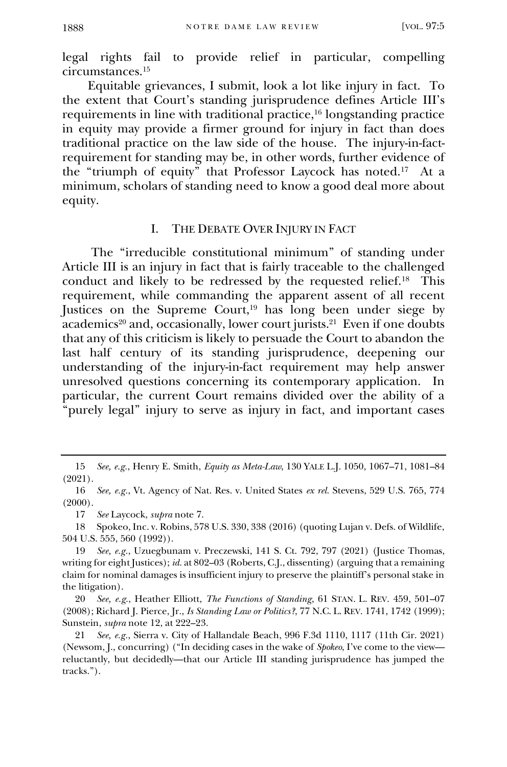legal rights fail to provide relief in particular, compelling circumstances.<sup>15</sup>

<span id="page-3-0"></span>Equitable grievances, I submit, look a lot like injury in fact. To the extent that Court's standing jurisprudence defines Article III's requirements in line with traditional practice,<sup>16</sup> longstanding practice in equity may provide a firmer ground for injury in fact than does traditional practice on the law side of the house. The injury-in-factrequirement for standing may be, in other words, further evidence of the "triumph of equity" that Professor Laycock has noted.<sup>17</sup> At a minimum, scholars of standing need to know a good deal more about equity.

### I. THE DEBATE OVER INJURY IN FACT

The "irreducible constitutional minimum" of standing under Article III is an injury in fact that is fairly traceable to the challenged conduct and likely to be redressed by the requested relief.<sup>18</sup> This requirement, while commanding the apparent assent of all recent Justices on the Supreme Court, $19$  has long been under siege by academics<sup>20</sup> and, occasionally, lower court jurists.<sup>21</sup> Even if one doubts that any of this criticism is likely to persuade the Court to abandon the last half century of its standing jurisprudence, deepening our understanding of the injury-in-fact requirement may help answer unresolved questions concerning its contemporary application. In particular, the current Court remains divided over the ability of a "purely legal" injury to serve as injury in fact, and important cases

<sup>15</sup> *See, e.g.*, Henry E. Smith, *Equity as Meta-Law*, 130 YALE L.J. 1050, 1067–71, 1081–84 (2021).

<sup>16</sup> *See, e.g.*, Vt. Agency of Nat. Res. v. United States *ex rel.* Stevens, 529 U.S. 765, 774 (2000).

<sup>17</sup> *See* Laycock, *supra* not[e 7.](#page-1-0)

<sup>18</sup> Spokeo, Inc. v. Robins, 578 U.S. 330, 338 (2016) (quoting Lujan v. Defs. of Wildlife, 504 U.S. 555, 560 (1992)).

<sup>19</sup> *See, e.g.*, Uzuegbunam v. Preczewski, 141 S. Ct. 792, 797 (2021) (Justice Thomas, writing for eight Justices); *id.* at 802–03 (Roberts, C.J., dissenting) (arguing that a remaining claim for nominal damages is insufficient injury to preserve the plaintiff's personal stake in the litigation).

<sup>20</sup> *See, e.g.*, Heather Elliott, *The Functions of Standing*, 61 STAN. L. REV. 459, 501–07 (2008); Richard J. Pierce, Jr., *Is Standing Law or Politics?*, 77 N.C. L. REV. 1741, 1742 (1999); Sunstein, *supra* note 12, at 222–23.

<sup>21</sup> *See, e.g.*, Sierra v. City of Hallandale Beach, 996 F.3d 1110, 1117 (11th Cir. 2021) (Newsom, J., concurring) ("In deciding cases in the wake of *Spokeo*, I've come to the view reluctantly, but decidedly—that our Article III standing jurisprudence has jumped the tracks.").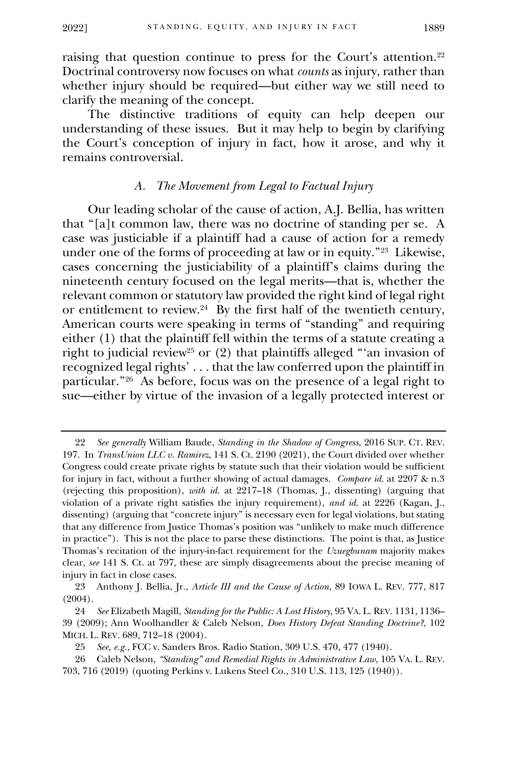raising that question continue to press for the Court's attention.<sup>22</sup> Doctrinal controversy now focuses on what *counts* as injury, rather than whether injury should be required—but either way we still need to clarify the meaning of the concept.

The distinctive traditions of equity can help deepen our understanding of these issues. But it may help to begin by clarifying the Court's conception of injury in fact, how it arose, and why it remains controversial.

#### *A. The Movement from Legal to Factual Injury*

Our leading scholar of the cause of action, A.J. Bellia, has written that "[a]t common law, there was no doctrine of standing per se. A case was justiciable if a plaintiff had a cause of action for a remedy under one of the forms of proceeding at law or in equity."<sup>23</sup> Likewise, cases concerning the justiciability of a plaintiff's claims during the nineteenth century focused on the legal merits—that is, whether the relevant common or statutory law provided the right kind of legal right or entitlement to review.<sup>24</sup> By the first half of the twentieth century, American courts were speaking in terms of "standing" and requiring either (1) that the plaintiff fell within the terms of a statute creating a right to judicial review<sup>25</sup> or (2) that plaintiffs alleged "'an invasion of recognized legal rights' . . . that the law conferred upon the plaintiff in particular."<sup>26</sup> As before, focus was on the presence of a legal right to sue—either by virtue of the invasion of a legally protected interest or

<span id="page-4-0"></span><sup>22</sup> *See generally* William Baude, *Standing in the Shadow of Congress*, 2016 SUP. CT. REV. 197. In *TransUnion LLC v. Ramirez*, 141 S. Ct. 2190 (2021), the Court divided over whether Congress could create private rights by statute such that their violation would be sufficient for injury in fact, without a further showing of actual damages. *Compare id.* at 2207 & n.3 (rejecting this proposition), *with id.* at 2217–18 (Thomas, J., dissenting) (arguing that violation of a private right satisfies the injury requirement), *and id.* at 2226 (Kagan, J., dissenting) (arguing that "concrete injury" is necessary even for legal violations, but stating that any difference from Justice Thomas's position was "unlikely to make much difference in practice"). This is not the place to parse these distinctions. The point is that, as Justice Thomas's recitation of the injury-in-fact requirement for the *Uzuegbunam* majority makes clear, *see* 141 S. Ct. at 797, these are simply disagreements about the precise meaning of injury in fact in close cases.

<sup>23</sup> Anthony J. Bellia, Jr., *Article III and the Cause of Action*, 89 IOWA L. REV. 777, 817 (2004).

<sup>24</sup> *See* Elizabeth Magill, *Standing for the Public: A Lost History*, 95 VA. L. REV. 1131, 1136– 39 (2009); Ann Woolhandler & Caleb Nelson, *Does History Defeat Standing Doctrine?*, 102 MICH. L. REV. 689, 712–18 (2004).

<sup>25</sup> *See, e.g.*, FCC v. Sanders Bros. Radio Station, 309 U.S. 470, 477 (1940).

<sup>26</sup> Caleb Nelson, *"Standing" and Remedial Rights in Administrative Law*, 105 VA. L. REV. 703, 716 (2019) (quoting Perkins v. Lukens Steel Co., 310 U.S. 113, 125 (1940)).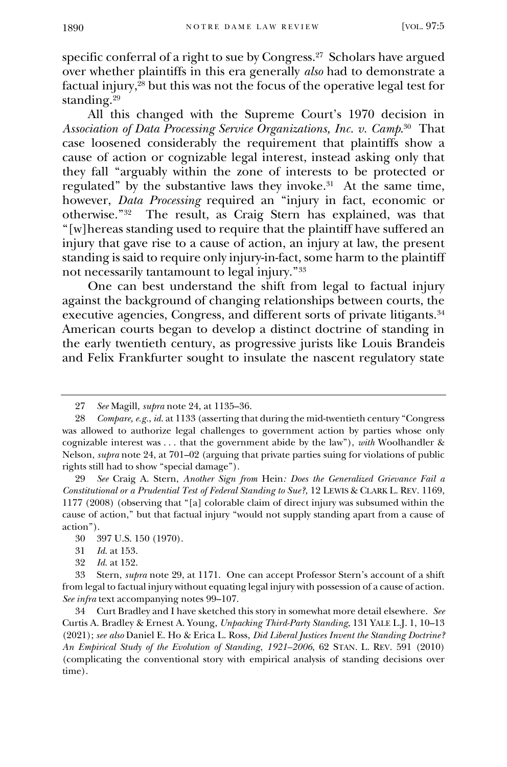specific conferral of a right to sue by Congress.<sup>27</sup> Scholars have argued over whether plaintiffs in this era generally *also* had to demonstrate a factual injury,<sup>28</sup> but this was not the focus of the operative legal test for standing.<sup>29</sup>

All this changed with the Supreme Court's 1970 decision in *Association of Data Processing Service Organizations, Inc. v. Camp*. 30 That case loosened considerably the requirement that plaintiffs show a cause of action or cognizable legal interest, instead asking only that they fall "arguably within the zone of interests to be protected or regulated" by the substantive laws they invoke.<sup>31</sup> At the same time, however, *Data Processing* required an "injury in fact, economic or otherwise."<sup>32</sup> The result, as Craig Stern has explained, was that "[w]hereas standing used to require that the plaintiff have suffered an injury that gave rise to a cause of action, an injury at law, the present standing is said to require only injury-in-fact, some harm to the plaintiff not necessarily tantamount to legal injury."<sup>33</sup>

One can best understand the shift from legal to factual injury against the background of changing relationships between courts, the executive agencies, Congress, and different sorts of private litigants.<sup>34</sup> American courts began to develop a distinct doctrine of standing in the early twentieth century, as progressive jurists like Louis Brandeis and Felix Frankfurter sought to insulate the nascent regulatory state

<span id="page-5-0"></span><sup>27</sup> *See* Magill, *supra* note 24, at 1135–36.

<sup>28</sup> *Compare, e.g.*, *id.* at 1133 (asserting that during the mid-twentieth century "Congress was allowed to authorize legal challenges to government action by parties whose only cognizable interest was . . . that the government abide by the law"), *with* Woolhandler & Nelson, *supra* note 24, at 701–02 (arguing that private parties suing for violations of public rights still had to show "special damage").

<sup>29</sup> *See* Craig A. Stern, *Another Sign from* Hein*: Does the Generalized Grievance Fail a Constitutional or a Prudential Test of Federal Standing to Sue?*, 12 LEWIS & CLARK L. REV. 1169, 1177 (2008) (observing that "[a] colorable claim of direct injury was subsumed within the cause of action," but that factual injury "would not supply standing apart from a cause of action").

<sup>30</sup> 397 U.S. 150 (1970).

<sup>31</sup> *Id.* at 153.

<sup>32</sup> *Id.* at 152.

<sup>33</sup> Stern, *supra* note 29, at 1171. One can accept Professor Stern's account of a shift from legal to factual injury without equating legal injury with possession of a cause of action. *See infra* text accompanying notes [99](#page-15-0)–107.

<sup>34</sup> Curt Bradley and I have sketched this story in somewhat more detail elsewhere. *See* Curtis A. Bradley & Ernest A. Young, *Unpacking Third-Party Standing*, 131 YALE L.J. 1, 10–13 (2021); *see also* Daniel E. Ho & Erica L. Ross, *Did Liberal Justices Invent the Standing Doctrine? An Empirical Study of the Evolution of Standing*, *1921–2006*, 62 STAN. L. REV. 591 (2010) (complicating the conventional story with empirical analysis of standing decisions over time).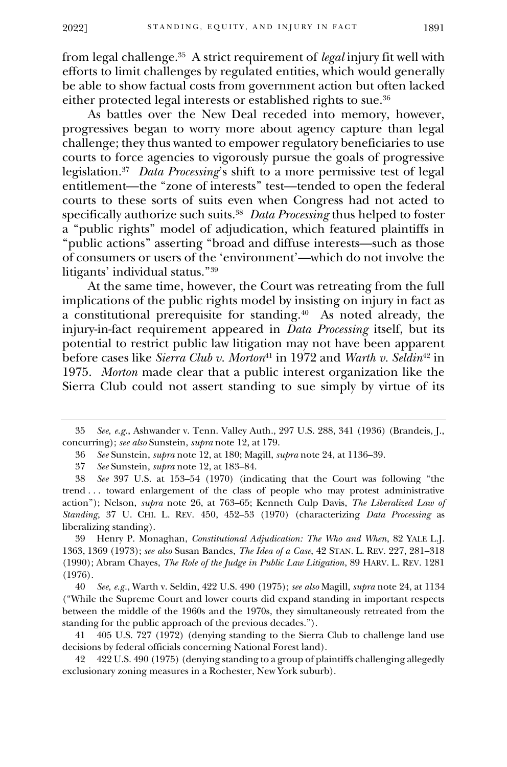from legal challenge.<sup>35</sup> A strict requirement of *legal* injury fit well with efforts to limit challenges by regulated entities, which would generally be able to show factual costs from government action but often lacked either protected legal interests or established rights to sue.<sup>36</sup>

As battles over the New Deal receded into memory, however, progressives began to worry more about agency capture than legal challenge; they thus wanted to empower regulatory beneficiaries to use courts to force agencies to vigorously pursue the goals of progressive legislation.<sup>37</sup> *Data Processing*'s shift to a more permissive test of legal entitlement—the "zone of interests" test—tended to open the federal courts to these sorts of suits even when Congress had not acted to specifically authorize such suits.<sup>38</sup>  *Data Processing* thus helped to foster a "public rights" model of adjudication, which featured plaintiffs in "public actions" asserting "broad and diffuse interests—such as those of consumers or users of the 'environment'—which do not involve the litigants' individual status."<sup>39</sup>

At the same time, however, the Court was retreating from the full implications of the public rights model by insisting on injury in fact as a constitutional prerequisite for standing.<sup>40</sup> As noted already, the injury-in-fact requirement appeared in *Data Processing* itself, but its potential to restrict public law litigation may not have been apparent before cases like *Sierra Club v. Morton*<sup>41</sup> in 1972 and *Warth v. Seldin*<sup>42</sup> in 1975. *Morton* made clear that a public interest organization like the Sierra Club could not assert standing to sue simply by virtue of its

39 Henry P. Monaghan, *Constitutional Adjudication: The Who and When*, 82 YALE L.J. 1363, 1369 (1973); *see also* Susan Bandes, *The Idea of a Case*, 42 STAN. L. REV. 227, 281–318 (1990); Abram Chayes, *The Role of the Judge in Public Law Litigation*, 89 HARV. L. REV. 1281 (1976).

40 *See, e.g.*, Warth v. Seldin, 422 U.S. 490 (1975); *see also* Magill, *supra* note 24, at 1134 ("While the Supreme Court and lower courts did expand standing in important respects between the middle of the 1960s and the 1970s, they simultaneously retreated from the standing for the public approach of the previous decades.").

41 405 U.S. 727 (1972) (denying standing to the Sierra Club to challenge land use decisions by federal officials concerning National Forest land).

42 422 U.S. 490 (1975) (denying standing to a group of plaintiffs challenging allegedly exclusionary zoning measures in a Rochester, New York suburb).

<sup>35</sup> *See, e.g.*, Ashwander v. Tenn. Valley Auth., 297 U.S. 288, 341 (1936) (Brandeis, J., concurring); *see also* Sunstein, *supra* note 12, at 179.

<sup>36</sup> *See* Sunstein, *supra* note 12, at 180; Magill, *supra* note 24, at 1136–39.

<sup>37</sup> *See* Sunstein, *supra* note 12, at 183–84.

<sup>38</sup> *See* 397 U.S. at 153–54 (1970) (indicating that the Court was following "the trend . . . toward enlargement of the class of people who may protest administrative action"); Nelson, *supra* note 26, at 763–65; Kenneth Culp Davis, *The Liberalized Law of Standing*, 37 U. CHI. L. REV. 450, 452–53 (1970) (characterizing *Data Processing* as liberalizing standing).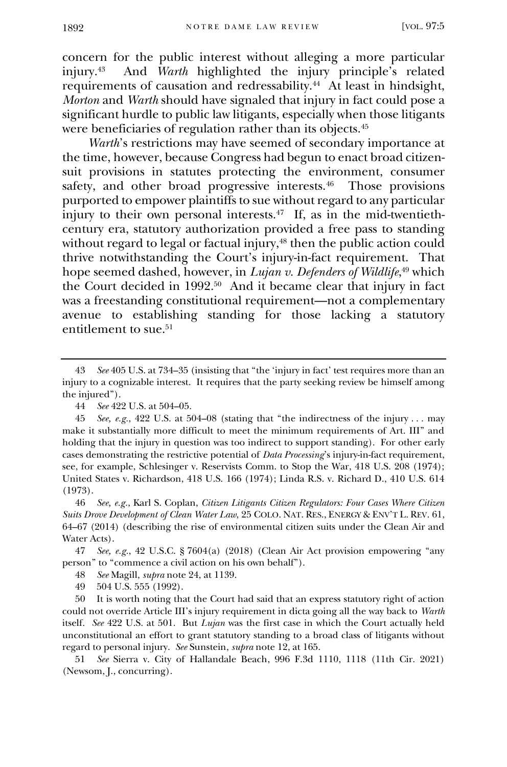concern for the public interest without alleging a more particular injury.<sup>43</sup> And *Warth* highlighted the injury principle's related requirements of causation and redressability.<sup>44</sup> At least in hindsight, *Morton* and *Warth* should have signaled that injury in fact could pose a significant hurdle to public law litigants, especially when those litigants were beneficiaries of regulation rather than its objects.<sup>45</sup>

*Warth*'s restrictions may have seemed of secondary importance at the time, however, because Congress had begun to enact broad citizensuit provisions in statutes protecting the environment, consumer safety, and other broad progressive interests.<sup>46</sup> Those provisions purported to empower plaintiffs to sue without regard to any particular injury to their own personal interests.<sup>47</sup> If, as in the mid-twentiethcentury era, statutory authorization provided a free pass to standing without regard to legal or factual injury,<sup>48</sup> then the public action could thrive notwithstanding the Court's injury-in-fact requirement. That hope seemed dashed, however, in *Lujan v. Defenders of Wildlife*, <sup>49</sup> which the Court decided in 1992.<sup>50</sup> And it became clear that injury in fact was a freestanding constitutional requirement—not a complementary avenue to establishing standing for those lacking a statutory entitlement to sue.<sup>51</sup>

46 *See, e.g.*, Karl S. Coplan, *Citizen Litigants Citizen Regulators: Four Cases Where Citizen Suits Drove Development of Clean Water Law*, 25 COLO. NAT. RES., ENERGY & ENV'T L. REV. 61, 64–67 (2014) (describing the rise of environmental citizen suits under the Clean Air and Water Acts).

47 *See, e.g.*, 42 U.S.C. § 7604(a) (2018) (Clean Air Act provision empowering "any person" to "commence a civil action on his own behalf").

- 48 *See* Magill, *supra* note 24, at 1139.
- 49 504 U.S. 555 (1992).

50 It is worth noting that the Court had said that an express statutory right of action could not override Article III's injury requirement in dicta going all the way back to *Warth* itself. *See* 422 U.S. at 501. But *Lujan* was the first case in which the Court actually held unconstitutional an effort to grant statutory standing to a broad class of litigants without regard to personal injury. *See* Sunstein, *supra* not[e 12,](#page-2-0) at 165.

51 *See* Sierra v. City of Hallandale Beach, 996 F.3d 1110, 1118 (11th Cir. 2021) (Newsom, J., concurring).

<sup>43</sup> *See* 405 U.S. at 734–35 (insisting that "the 'injury in fact' test requires more than an injury to a cognizable interest. It requires that the party seeking review be himself among the injured").

<sup>44</sup> *See* 422 U.S. at 504–05.

<sup>45</sup> *See, e.g.*, 422 U.S. at 504–08 (stating that "the indirectness of the injury . . . may make it substantially more difficult to meet the minimum requirements of Art. III" and holding that the injury in question was too indirect to support standing). For other early cases demonstrating the restrictive potential of *Data Processing*'s injury-in-fact requirement, see, for example, Schlesinger v. Reservists Comm. to Stop the War, 418 U.S. 208 (1974); United States v. Richardson, 418 U.S. 166 (1974); Linda R.S. v. Richard D., 410 U.S. 614 (1973).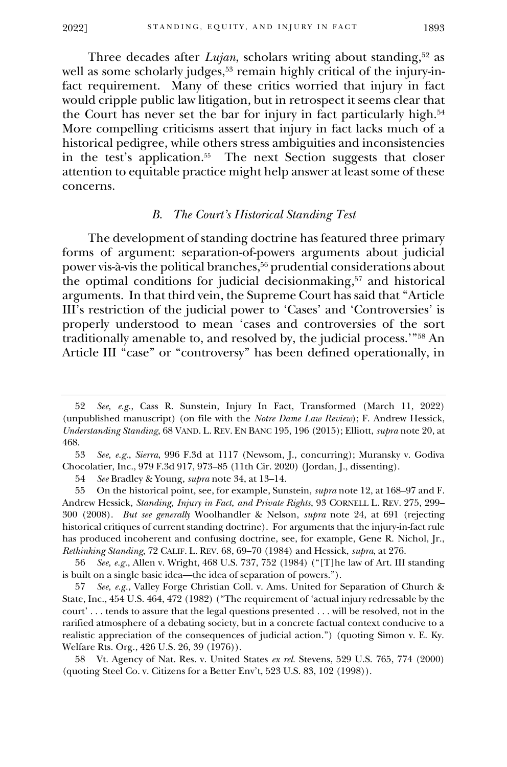Three decades after *Lujan*, scholars writing about standing,<sup>52</sup> as well as some scholarly judges,<sup>53</sup> remain highly critical of the injury-infact requirement. Many of these critics worried that injury in fact would cripple public law litigation, but in retrospect it seems clear that the Court has never set the bar for injury in fact particularly high.<sup>54</sup>  More compelling criticisms assert that injury in fact lacks much of a historical pedigree, while others stress ambiguities and inconsistencies in the test's application.<sup>55</sup> The next Section suggests that closer attention to equitable practice might help answer at least some of these concerns.

#### <span id="page-8-1"></span>*B. The Court's Historical Standing Test*

<span id="page-8-0"></span>The development of standing doctrine has featured three primary forms of argument: separation-of-powers arguments about judicial power vis-à-vis the political branches, <sup>56</sup> prudential considerations about the optimal conditions for judicial decisionmaking, <sup>57</sup> and historical arguments. In that third vein, the Supreme Court has said that "Article III's restriction of the judicial power to 'Cases' and 'Controversies' is properly understood to mean 'cases and controversies of the sort traditionally amenable to, and resolved by, the judicial process.'"<sup>58</sup> An Article III "case" or "controversy" has been defined operationally, in

<sup>52</sup> *See, e.g*., Cass R. Sunstein, Injury In Fact, Transformed (March 11, 2022) (unpublished manuscript) (on file with the *Notre Dame Law Review*); F. Andrew Hessick, *Understanding Standing*, 68 VAND. L. REV. EN BANC 195, 196 (2015); Elliott, *supra* note 20, at 468.

<sup>53</sup> *See, e.g.*, *Sierra*, 996 F.3d at 1117 (Newsom, J., concurring); Muransky v. Godiva Chocolatier, Inc., 979 F.3d 917, 973–85 (11th Cir. 2020) (Jordan, J., dissenting).

<sup>54</sup> *See* Bradley & Young, *supra* note 34, at 13–14.

<sup>55</sup> On the historical point, see, for example, Sunstein, *supra* note [12,](#page-2-0) at 168–97 and F. Andrew Hessick, *Standing, Injury in Fact, and Private Rights*, 93 CORNELL L. REV. 275, 299– 300 (2008). *But see generally* Woolhandler & Nelson, *supra* note 24, at 691 (rejecting historical critiques of current standing doctrine). For arguments that the injury-in-fact rule has produced incoherent and confusing doctrine, see, for example, Gene R. Nichol, Jr., *Rethinking Standing*, 72 CALIF. L. REV. 68, 69–70 (1984) and Hessick, *supra*, at 276.

<sup>56</sup> *See, e.g.*, Allen v. Wright, 468 U.S. 737, 752 (1984) ("[T]he law of Art. III standing is built on a single basic idea—the idea of separation of powers.").

<sup>57</sup> *See, e.g.*, Valley Forge Christian Coll. v. Ams. United for Separation of Church & State, Inc., 454 U.S. 464, 472 (1982) ("The requirement of 'actual injury redressable by the court' . . . tends to assure that the legal questions presented . . . will be resolved, not in the rarified atmosphere of a debating society, but in a concrete factual context conducive to a realistic appreciation of the consequences of judicial action.") (quoting Simon v. E. Ky. Welfare Rts. Org., 426 U.S. 26, 39 (1976)).

<sup>58</sup> Vt. Agency of Nat. Res. v. United States *ex rel.* Stevens, 529 U.S. 765, 774 (2000) (quoting Steel Co. v. Citizens for a Better Env't, 523 U.S. 83, 102 (1998)).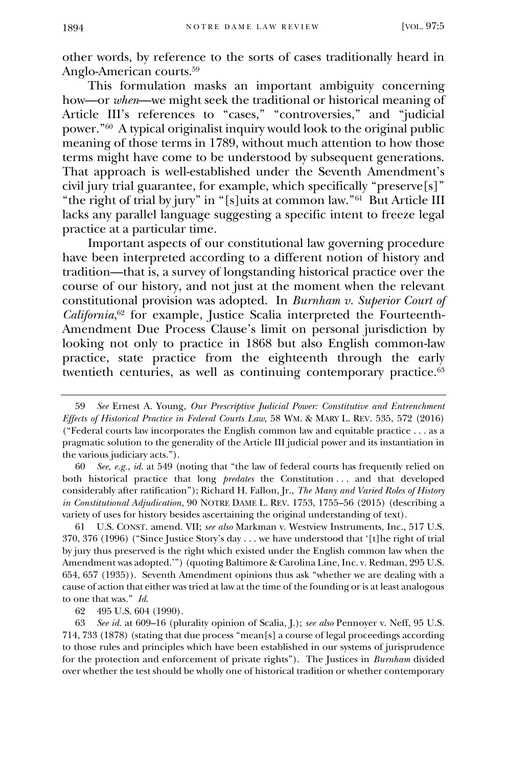other words, by reference to the sorts of cases traditionally heard in Anglo-American courts.<sup>59</sup>

This formulation masks an important ambiguity concerning how—or *when*—we might seek the traditional or historical meaning of Article III's references to "cases," "controversies," and "judicial power."<sup>60</sup> A typical originalist inquiry would look to the original public meaning of those terms in 1789, without much attention to how those terms might have come to be understood by subsequent generations. That approach is well-established under the Seventh Amendment's civil jury trial guarantee, for example, which specifically "preserve[s]" "the right of trial by jury" in "[s]uits at common law."<sup>61</sup> But Article III lacks any parallel language suggesting a specific intent to freeze legal practice at a particular time.

Important aspects of our constitutional law governing procedure have been interpreted according to a different notion of history and tradition—that is, a survey of longstanding historical practice over the course of our history, and not just at the moment when the relevant constitutional provision was adopted. In *Burnham v. Superior Court of California*, <sup>62</sup> for example, Justice Scalia interpreted the Fourteenth-Amendment Due Process Clause's limit on personal jurisdiction by looking not only to practice in 1868 but also English common-law practice, state practice from the eighteenth through the early twentieth centuries, as well as continuing contemporary practice.<sup>63</sup>

60 *See, e.g.*, *id.* at 549 (noting that "the law of federal courts has frequently relied on both historical practice that long *predates* the Constitution . . . and that developed considerably after ratification"); Richard H. Fallon, Jr., *The Many and Varied Roles of History in Constitutional Adjudication*, 90 NOTRE DAME L. REV. 1753, 1755–56 (2015) (describing a variety of uses for history besides ascertaining the original understanding of text).

61 U.S. CONST. amend. VII; *see also* Markman v. Westview Instruments, Inc., 517 U.S. 370, 376 (1996) ("Since Justice Story's day . . . we have understood that '[t]he right of trial by jury thus preserved is the right which existed under the English common law when the Amendment was adopted.'") (quoting Baltimore & Carolina Line, Inc. v. Redman, 295 U.S. 654, 657 (1935)). Seventh Amendment opinions thus ask "whether we are dealing with a cause of action that either was tried at law at the time of the founding or is at least analogous to one that was." *Id*.

62 495 U.S. 604 (1990).

63 *See id.* at 609–16 (plurality opinion of Scalia, J.); *see also* Pennoyer v. Neff, 95 U.S. 714, 733 (1878) (stating that due process "mean[s] a course of legal proceedings according to those rules and principles which have been established in our systems of jurisprudence for the protection and enforcement of private rights"). The Justices in *Burnham* divided over whether the test should be wholly one of historical tradition or whether contemporary

<sup>59</sup> *See* Ernest A. Young, *Our Prescriptive Judicial Power: Constitutive and Entrenchment Effects of Historical Practice in Federal Courts Law*, 58 WM. & MARY L. REV. 535, 572 (2016) ("Federal courts law incorporates the English common law and equitable practice . . . as a pragmatic solution to the generality of the Article III judicial power and its instantiation in the various judiciary acts.").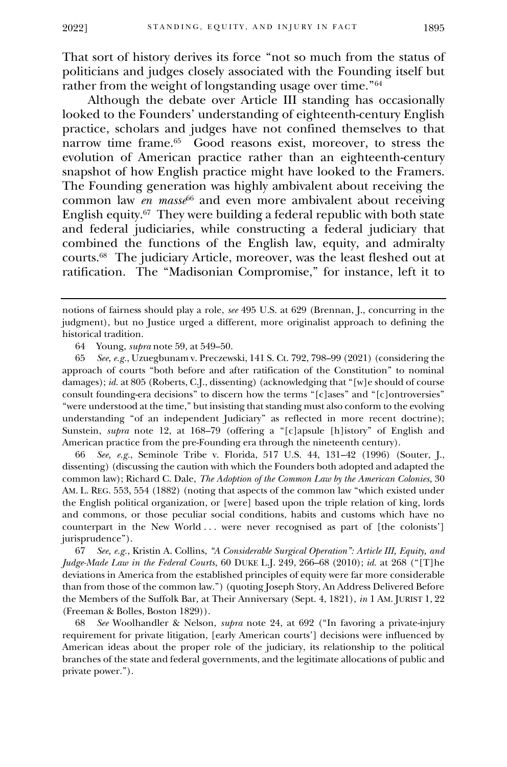That sort of history derives its force "not so much from the status of politicians and judges closely associated with the Founding itself but rather from the weight of longstanding usage over time."<sup>64</sup>

Although the debate over Article III standing has occasionally looked to the Founders' understanding of eighteenth-century English practice, scholars and judges have not confined themselves to that narrow time frame.<sup>65</sup> Good reasons exist, moreover, to stress the evolution of American practice rather than an eighteenth-century snapshot of how English practice might have looked to the Framers. The Founding generation was highly ambivalent about receiving the common law *en masse*<sup>66</sup> and even more ambivalent about receiving English equity.<sup>67</sup> They were building a federal republic with both state and federal judiciaries, while constructing a federal judiciary that combined the functions of the English law, equity, and admiralty courts.<sup>68</sup> The judiciary Article, moreover, was the least fleshed out at ratification. The "Madisonian Compromise," for instance, left it to

65 *See, e.g.*, Uzuegbunam v. Preczewski, 141 S. Ct. 792, 798–99 (2021) (considering the approach of courts "both before and after ratification of the Constitution" to nominal damages); *id.* at 805 (Roberts, C.J., dissenting) (acknowledging that "[w]e should of course consult founding-era decisions" to discern how the terms "[c]ases" and "[c]ontroversies" "were understood at the time," but insisting that standing must also conform to the evolving understanding "of an independent Judiciary" as reflected in more recent doctrine); Sunstein, *supra* note 12, at 168–79 (offering a "[c]apsule [h]istory" of English and American practice from the pre-Founding era through the nineteenth century).

66 *See, e.g.*, Seminole Tribe v. Florida, 517 U.S. 44, 131–42 (1996) (Souter, J., dissenting) (discussing the caution with which the Founders both adopted and adapted the common law); Richard C. Dale, *The Adoption of the Common Law by the American Colonies*, 30 AM. L. REG. 553, 554 (1882) (noting that aspects of the common law "which existed under the English political organization, or [were] based upon the triple relation of king, lords and commons, or those peculiar social conditions, habits and customs which have no counterpart in the New World . . . were never recognised as part of [the colonists'] jurisprudence").

67 *See, e.g.*, Kristin A. Collins, *"A Considerable Surgical Operation": Article III, Equity, and Judge-Made Law in the Federal Courts*, 60 DUKE L.J. 249, 266–68 (2010); *id.* at 268 ("[T]he deviations in America from the established principles of equity were far more considerable than from those of the common law.") (quoting Joseph Story, An Address Delivered Before the Members of the Suffolk Bar, at Their Anniversary (Sept. 4, 1821), *in* 1 AM. JURIST 1, 22 (Freeman & Bolles, Boston 1829)).

68 *See* Woolhandler & Nelson, *supra* note 24, at 692 ("In favoring a private-injury requirement for private litigation, [early American courts'] decisions were influenced by American ideas about the proper role of the judiciary, its relationship to the political branches of the state and federal governments, and the legitimate allocations of public and private power.").

notions of fairness should play a role, *see* 495 U.S. at 629 (Brennan, J., concurring in the judgment), but no Justice urged a different, more originalist approach to defining the historical tradition.

<sup>64</sup> Young, *supra* note 59, at 549–50.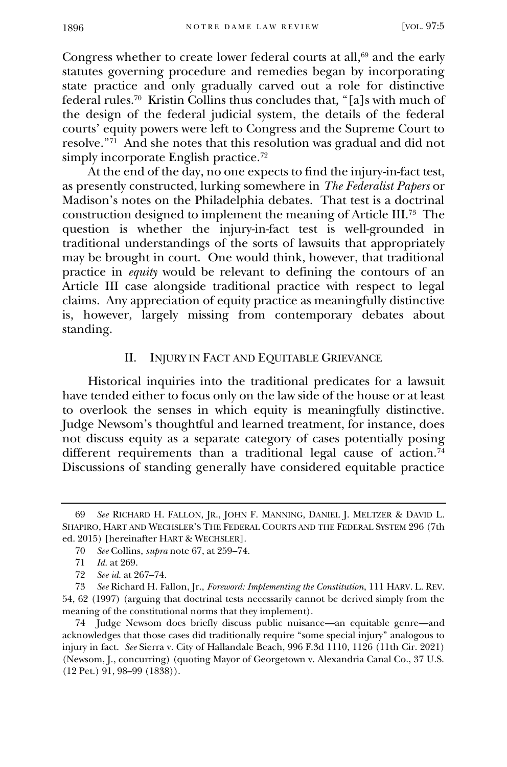Congress whether to create lower federal courts at all,<sup>69</sup> and the early statutes governing procedure and remedies began by incorporating state practice and only gradually carved out a role for distinctive federal rules.<sup>70</sup> Kristin Collins thus concludes that, "[a]s with much of the design of the federal judicial system, the details of the federal courts' equity powers were left to Congress and the Supreme Court to resolve."<sup>71</sup> And she notes that this resolution was gradual and did not simply incorporate English practice.<sup>72</sup>

At the end of the day, no one expects to find the injury-in-fact test, as presently constructed, lurking somewhere in *The Federalist Papers* or Madison's notes on the Philadelphia debates. That test is a doctrinal construction designed to implement the meaning of Article III.<sup>73</sup> The question is whether the injury-in-fact test is well-grounded in traditional understandings of the sorts of lawsuits that appropriately may be brought in court. One would think, however, that traditional practice in *equity* would be relevant to defining the contours of an Article III case alongside traditional practice with respect to legal claims. Any appreciation of equity practice as meaningfully distinctive is, however, largely missing from contemporary debates about standing.

#### II. INJURY IN FACT AND EQUITABLE GRIEVANCE

Historical inquiries into the traditional predicates for a lawsuit have tended either to focus only on the law side of the house or at least to overlook the senses in which equity is meaningfully distinctive. Judge Newsom's thoughtful and learned treatment, for instance, does not discuss equity as a separate category of cases potentially posing different requirements than a traditional legal cause of action.<sup>74</sup> Discussions of standing generally have considered equitable practice

<sup>69</sup> *See* RICHARD H. FALLON, JR., JOHN F. MANNING, DANIEL J. MELTZER & DAVID L. SHAPIRO, HART AND WECHSLER'S THE FEDERAL COURTS AND THE FEDERAL SYSTEM 296 (7th ed. 2015) [hereinafter HART & WECHSLER].

<sup>70</sup> *See* Collins, *supra* note 67, at 259–74.

<sup>71</sup> *Id.* at 269.

<sup>72</sup> *See id.* at 267–74.

<sup>73</sup> *See* Richard H. Fallon, Jr., *Foreword: Implementing the Constitution*, 111 HARV. L. REV. 54, 62 (1997) (arguing that doctrinal tests necessarily cannot be derived simply from the meaning of the constitutional norms that they implement).

<sup>74</sup> Judge Newsom does briefly discuss public nuisance—an equitable genre—and acknowledges that those cases did traditionally require "some special injury" analogous to injury in fact. *See* Sierra v. City of Hallandale Beach, 996 F.3d 1110, 1126 (11th Cir. 2021) (Newsom, J., concurring) (quoting Mayor of Georgetown v. Alexandria Canal Co., 37 U.S. (12 Pet.) 91, 98–99 (1838)).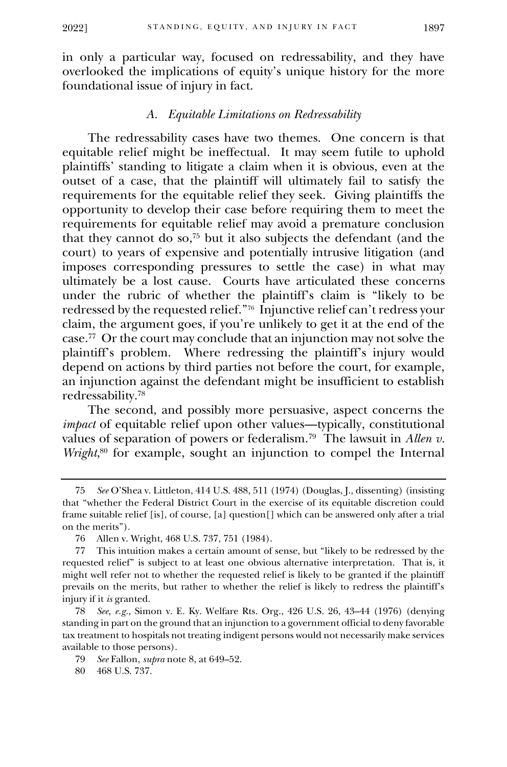in only a particular way, focused on redressability, and they have overlooked the implications of equity's unique history for the more foundational issue of injury in fact.

## *A. Equitable Limitations on Redressability*

The redressability cases have two themes. One concern is that equitable relief might be ineffectual. It may seem futile to uphold plaintiffs' standing to litigate a claim when it is obvious, even at the outset of a case, that the plaintiff will ultimately fail to satisfy the requirements for the equitable relief they seek. Giving plaintiffs the opportunity to develop their case before requiring them to meet the requirements for equitable relief may avoid a premature conclusion that they cannot do so,<sup>75</sup> but it also subjects the defendant (and the court) to years of expensive and potentially intrusive litigation (and imposes corresponding pressures to settle the case) in what may ultimately be a lost cause. Courts have articulated these concerns under the rubric of whether the plaintiff's claim is "likely to be redressed by the requested relief."<sup>76</sup> Injunctive relief can't redress your claim, the argument goes, if you're unlikely to get it at the end of the case.<sup>77</sup> Or the court may conclude that an injunction may not solve the plaintiff's problem. Where redressing the plaintiff's injury would depend on actions by third parties not before the court, for example, an injunction against the defendant might be insufficient to establish redressability.<sup>78</sup>

The second, and possibly more persuasive, aspect concerns the *impact* of equitable relief upon other values—typically, constitutional values of separation of powers or federalism.<sup>79</sup> The lawsuit in *Allen v. Wright*,<sup>80</sup> for example, sought an injunction to compel the Internal

<sup>75</sup> *See* O'Shea v. Littleton, 414 U.S. 488, 511 (1974) (Douglas, J., dissenting) (insisting that "whether the Federal District Court in the exercise of its equitable discretion could frame suitable relief [is], of course, [a] question[] which can be answered only after a trial on the merits").

<sup>76</sup> Allen v. Wright, 468 U.S. 737, 751 (1984).

<sup>77</sup> This intuition makes a certain amount of sense, but "likely to be redressed by the requested relief" is subject to at least one obvious alternative interpretation. That is, it might well refer not to whether the requested relief is likely to be granted if the plaintiff prevails on the merits, but rather to whether the relief is likely to redress the plaintiff's injury if it *is* granted.

<sup>78</sup> *See, e.g.*, Simon v. E. Ky. Welfare Rts. Org., 426 U.S. 26, 43–44 (1976) (denying standing in part on the ground that an injunction to a government official to deny favorable tax treatment to hospitals not treating indigent persons would not necessarily make services available to those persons).

<sup>79</sup> *See* Fallon, *supra* note 8, at 649–52.

<sup>80</sup> 468 U.S. 737.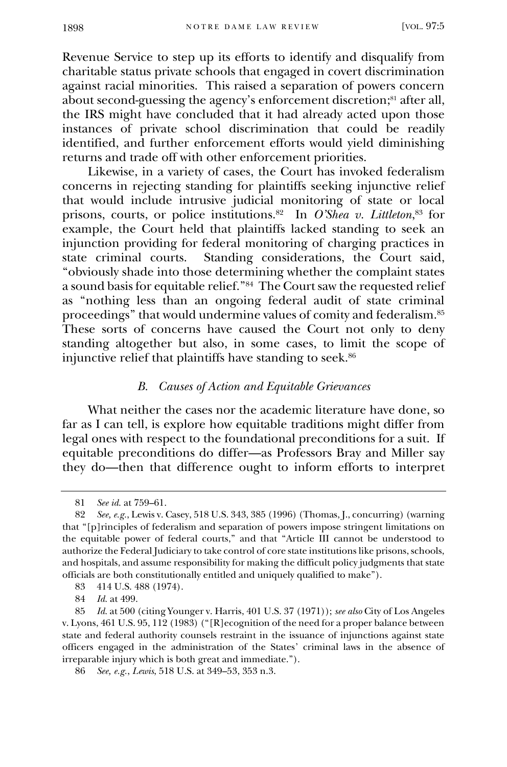Revenue Service to step up its efforts to identify and disqualify from charitable status private schools that engaged in covert discrimination against racial minorities. This raised a separation of powers concern about second-guessing the agency's enforcement discretion;<sup>81</sup> after all, the IRS might have concluded that it had already acted upon those instances of private school discrimination that could be readily identified, and further enforcement efforts would yield diminishing returns and trade off with other enforcement priorities.

Likewise, in a variety of cases, the Court has invoked federalism concerns in rejecting standing for plaintiffs seeking injunctive relief that would include intrusive judicial monitoring of state or local prisons, courts, or police institutions.<sup>82</sup> In *O'Shea v. Littleton*, <sup>83</sup> for example, the Court held that plaintiffs lacked standing to seek an injunction providing for federal monitoring of charging practices in state criminal courts. Standing considerations, the Court said, "obviously shade into those determining whether the complaint states a sound basis for equitable relief." 84 The Court saw the requested relief as "nothing less than an ongoing federal audit of state criminal proceedings" that would undermine values of comity and federalism.<sup>85</sup> These sorts of concerns have caused the Court not only to deny standing altogether but also, in some cases, to limit the scope of injunctive relief that plaintiffs have standing to seek.<sup>86</sup>

## *B. Causes of Action and Equitable Grievances*

What neither the cases nor the academic literature have done, so far as I can tell, is explore how equitable traditions might differ from legal ones with respect to the foundational preconditions for a suit. If equitable preconditions do differ—as Professors Bray and Miller say they do—then that difference ought to inform efforts to interpret

<sup>81</sup> *See id.* at 759–61.

<sup>82</sup> *See, e.g.*, Lewis v. Casey, 518 U.S. 343, 385 (1996) (Thomas, J., concurring) (warning that "[p]rinciples of federalism and separation of powers impose stringent limitations on the equitable power of federal courts," and that "Article III cannot be understood to authorize the Federal Judiciary to take control of core state institutions like prisons, schools, and hospitals, and assume responsibility for making the difficult policy judgments that state officials are both constitutionally entitled and uniquely qualified to make").

<sup>83</sup> 414 U.S. 488 (1974).

<sup>84</sup> *Id.* at 499.

<sup>85</sup> *Id.* at 500 (citing Younger v. Harris, 401 U.S. 37 (1971)); *see also* City of Los Angeles v. Lyons, 461 U.S. 95, 112 (1983) ("[R]ecognition of the need for a proper balance between state and federal authority counsels restraint in the issuance of injunctions against state officers engaged in the administration of the States' criminal laws in the absence of irreparable injury which is both great and immediate.").

<sup>86</sup> *See, e.g.*, *Lewis*, 518 U.S. at 349–53, 353 n.3.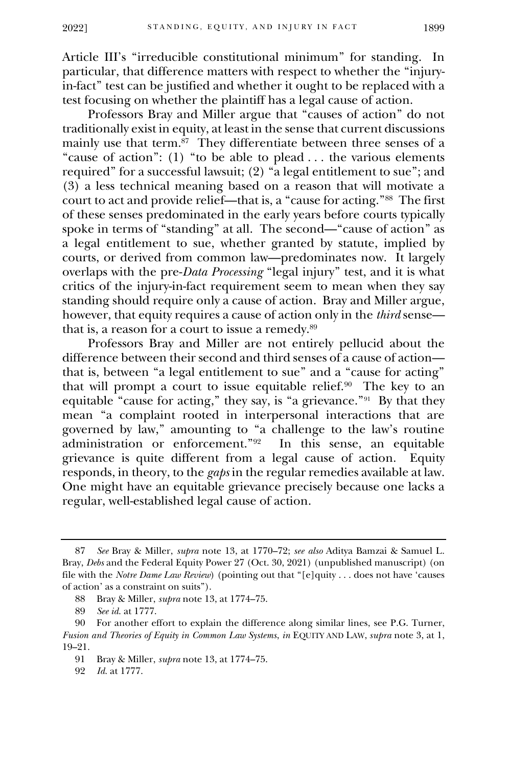Article III's "irreducible constitutional minimum" for standing. In particular, that difference matters with respect to whether the "injuryin-fact" test can be justified and whether it ought to be replaced with a test focusing on whether the plaintiff has a legal cause of action.

Professors Bray and Miller argue that "causes of action" do not traditionally exist in equity, at least in the sense that current discussions mainly use that term.<sup>87</sup> They differentiate between three senses of a "cause of action": (1) "to be able to plead . . . the various elements required" for a successful lawsuit; (2) "a legal entitlement to sue"; and (3) a less technical meaning based on a reason that will motivate a court to act and provide relief—that is, a "cause for acting."<sup>88</sup> The first of these senses predominated in the early years before courts typically spoke in terms of "standing" at all. The second—"cause of action" as a legal entitlement to sue, whether granted by statute, implied by courts, or derived from common law—predominates now. It largely overlaps with the pre-*Data Processing* "legal injury" test, and it is what critics of the injury-in-fact requirement seem to mean when they say standing should require only a cause of action. Bray and Miller argue, however, that equity requires a cause of action only in the *third* sense that is, a reason for a court to issue a remedy.<sup>89</sup>

Professors Bray and Miller are not entirely pellucid about the difference between their second and third senses of a cause of action that is, between "a legal entitlement to sue" and a "cause for acting" that will prompt a court to issue equitable relief.<sup>90</sup> The key to an equitable "cause for acting," they say, is "a grievance."<sup>91</sup> By that they mean "a complaint rooted in interpersonal interactions that are governed by law," amounting to "a challenge to the law's routine administration or enforcement."<sup>92</sup> In this sense, an equitable grievance is quite different from a legal cause of action. Equity responds, in theory, to the *gaps* in the regular remedies available at law. One might have an equitable grievance precisely because one lacks a regular, well-established legal cause of action.

<sup>87</sup> *See* Bray & Miller, *supra* note 13, at 1770–72; *see also* Aditya Bamzai & Samuel L. Bray, *Debs* and the Federal Equity Power 27 (Oct. 30, 2021) (unpublished manuscript) (on file with the *Notre Dame Law Review*) (pointing out that "[e]quity . . . does not have 'causes of action' as a constraint on suits").

<sup>88</sup> Bray & Miller, *supra* note 13, at 1774–75.

<sup>89</sup> *See id.* at 1777.

<sup>90</sup> For another effort to explain the difference along similar lines, see P.G. Turner, *Fusion and Theories of Equity in Common Law Systems*, *in* EQUITY AND LAW, *supra* note 3, at 1, 19–21.

<sup>91</sup> Bray & Miller, *supra* note 13, at 1774–75.

<sup>92</sup> *Id.* at 1777.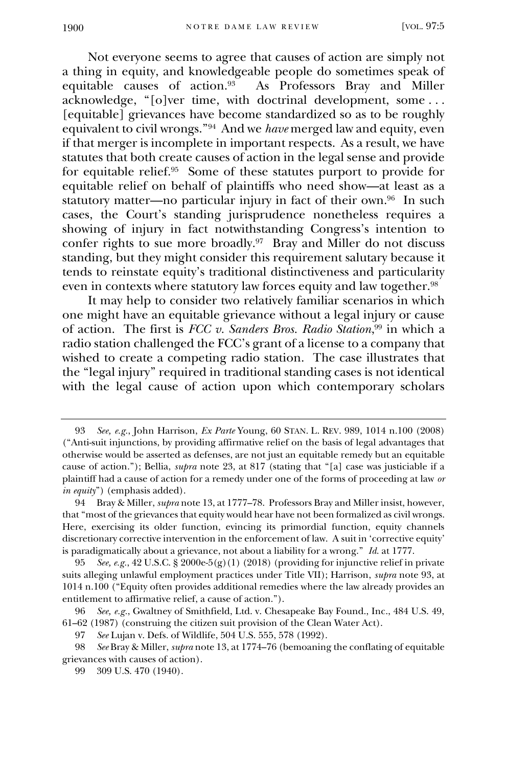Not everyone seems to agree that causes of action are simply not a thing in equity, and knowledgeable people do sometimes speak of equitable causes of action.<sup>93</sup> As Professors Bray and Miller acknowledge, "[o]ver time, with doctrinal development, some . . . [equitable] grievances have become standardized so as to be roughly equivalent to civil wrongs."<sup>94</sup> And we *have* merged law and equity, even if that merger is incomplete in important respects. As a result, we have statutes that both create causes of action in the legal sense and provide for equitable relief.<sup>95</sup> Some of these statutes purport to provide for equitable relief on behalf of plaintiffs who need show—at least as a statutory matter—no particular injury in fact of their own.<sup>96</sup> In such cases, the Court's standing jurisprudence nonetheless requires a showing of injury in fact notwithstanding Congress's intention to confer rights to sue more broadly.<sup>97</sup> Bray and Miller do not discuss standing, but they might consider this requirement salutary because it tends to reinstate equity's traditional distinctiveness and particularity even in contexts where statutory law forces equity and law together.<sup>98</sup>

It may help to consider two relatively familiar scenarios in which one might have an equitable grievance without a legal injury or cause of action. The first is *FCC v. Sanders Bros. Radio Station*, <sup>99</sup> in which a radio station challenged the FCC's grant of a license to a company that wished to create a competing radio station. The case illustrates that the "legal injury" required in traditional standing cases is not identical with the legal cause of action upon which contemporary scholars

<span id="page-15-0"></span><sup>93</sup> *See, e.g.*, John Harrison, *Ex Parte* Young, 60 STAN. L. REV. 989, 1014 n.100 (2008) ("Anti-suit injunctions, by providing affirmative relief on the basis of legal advantages that otherwise would be asserted as defenses, are not just an equitable remedy but an equitable cause of action."); Bellia, *supra* note 23, at 817 (stating that "[a] case was justiciable if a plaintiff had a cause of action for a remedy under one of the forms of proceeding at law *or in equity*") (emphasis added).

<sup>94</sup> Bray & Miller, *supra* note 13, at 1777–78. Professors Bray and Miller insist, however, that "most of the grievances that equity would hear have not been formalized as civil wrongs. Here, exercising its older function, evincing its primordial function, equity channels discretionary corrective intervention in the enforcement of law. A suit in 'corrective equity' is paradigmatically about a grievance, not about a liability for a wrong." *Id.* at 1777.

<sup>95</sup> *See, e.g.*, 42 U.S.C. § 2000e-5(g)(1) (2018) (providing for injunctive relief in private suits alleging unlawful employment practices under Title VII); Harrison, *supra* note 93, at 1014 n.100 ("Equity often provides additional remedies where the law already provides an entitlement to affirmative relief, a cause of action.").

<sup>96</sup> *See, e.g.*, Gwaltney of Smithfield, Ltd. v. Chesapeake Bay Found., Inc., 484 U.S. 49, 61–62 (1987) (construing the citizen suit provision of the Clean Water Act).

<sup>97</sup> *See* Lujan v. Defs. of Wildlife, 504 U.S. 555, 578 (1992).

<sup>98</sup> *See* Bray & Miller, *supra* note 13, at 1774–76 (bemoaning the conflating of equitable grievances with causes of action).

<sup>99</sup> 309 U.S. 470 (1940).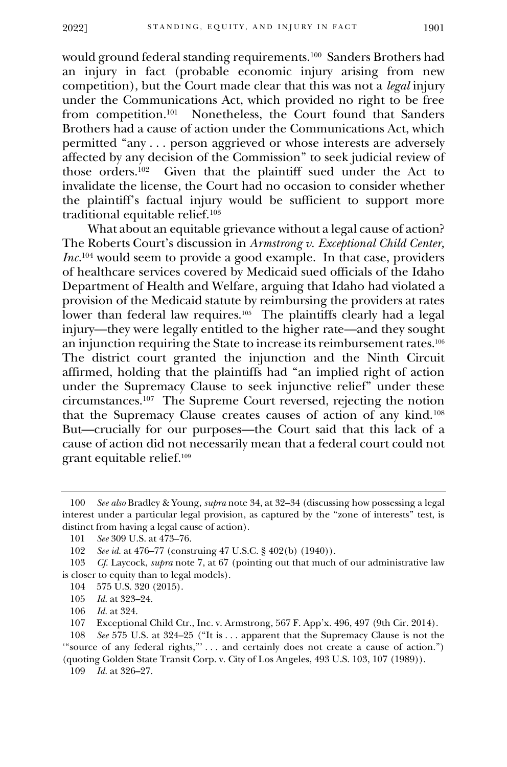would ground federal standing requirements.<sup>100</sup> Sanders Brothers had an injury in fact (probable economic injury arising from new competition), but the Court made clear that this was not a *legal* injury under the Communications Act, which provided no right to be free from competition.<sup>101</sup> Nonetheless, the Court found that Sanders Brothers had a cause of action under the Communications Act, which permitted "any . . . person aggrieved or whose interests are adversely affected by any decision of the Commission" to seek judicial review of those orders.<sup>102</sup> Given that the plaintiff sued under the Act to invalidate the license, the Court had no occasion to consider whether the plaintiff's factual injury would be sufficient to support more traditional equitable relief.<sup>103</sup>

What about an equitable grievance without a legal cause of action? The Roberts Court's discussion in *Armstrong v. Exceptional Child Center, Inc.*<sup>104</sup> would seem to provide a good example. In that case, providers of healthcare services covered by Medicaid sued officials of the Idaho Department of Health and Welfare, arguing that Idaho had violated a provision of the Medicaid statute by reimbursing the providers at rates lower than federal law requires.<sup>105</sup> The plaintiffs clearly had a legal injury—they were legally entitled to the higher rate—and they sought an injunction requiring the State to increase its reimbursement rates.<sup>106</sup> The district court granted the injunction and the Ninth Circuit affirmed, holding that the plaintiffs had "an implied right of action under the Supremacy Clause to seek injunctive relief" under these circumstances.<sup>107</sup> The Supreme Court reversed, rejecting the notion that the Supremacy Clause creates causes of action of any kind.<sup>108</sup> But—crucially for our purposes—the Court said that this lack of a cause of action did not necessarily mean that a federal court could not grant equitable relief.<sup>109</sup>

<sup>100</sup> *See also* Bradley & Young, *supra* not[e 34,](#page-5-0) at 32–34 (discussing how possessing a legal interest under a particular legal provision, as captured by the "zone of interests" test, is distinct from having a legal cause of action).

<sup>101</sup> *See* 309 U.S. at 473–76.

<sup>102</sup> *See id.* at 476–77 (construing 47 U.S.C. § 402(b) (1940)).

<sup>103</sup> *Cf.* Laycock, *supra* note 7, at 67 (pointing out that much of our administrative law is closer to equity than to legal models).

<sup>104</sup> 575 U.S. 320 (2015).

<sup>105</sup> *Id.* at 323–24.

<sup>106</sup> *Id.* at 324.

<sup>107</sup> Exceptional Child Ctr., Inc. v. Armstrong, 567 F. App'x. 496, 497 (9th Cir. 2014).

<sup>108</sup> *See* 575 U.S. at 324–25 ("It is . . . apparent that the Supremacy Clause is not the '"source of any federal rights,"' . . . and certainly does not create a cause of action.")

<sup>(</sup>quoting Golden State Transit Corp. v. City of Los Angeles, 493 U.S. 103, 107 (1989)). 109 *Id.* at 326–27.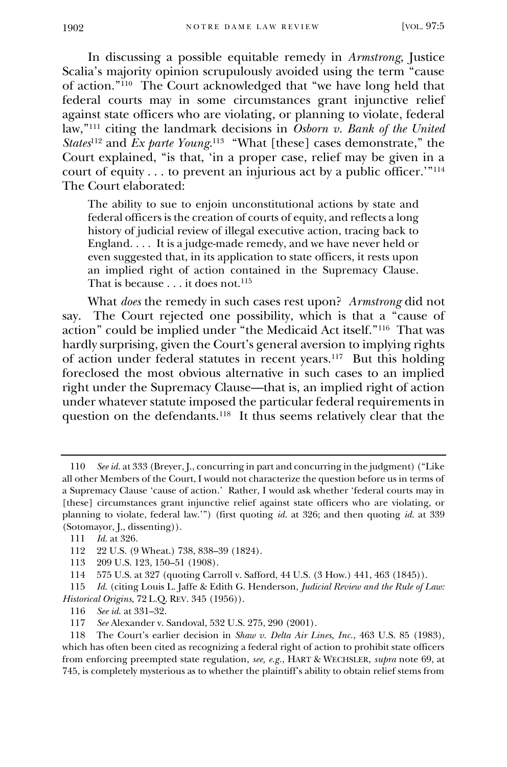In discussing a possible equitable remedy in *Armstrong*, Justice Scalia's majority opinion scrupulously avoided using the term "cause of action."<sup>110</sup> The Court acknowledged that "we have long held that federal courts may in some circumstances grant injunctive relief against state officers who are violating, or planning to violate, federal law,"<sup>111</sup> citing the landmark decisions in *Osborn v. Bank of the United States*<sup>112</sup> and *Ex parte Young*. 113 "What [these] cases demonstrate," the Court explained, "is that, 'in a proper case, relief may be given in a court of equity . . . to prevent an injurious act by a public officer.'"<sup>114</sup> The Court elaborated:

The ability to sue to enjoin unconstitutional actions by state and federal officers is the creation of courts of equity, and reflects a long history of judicial review of illegal executive action, tracing back to England. . . . It is a judge-made remedy, and we have never held or even suggested that, in its application to state officers, it rests upon an implied right of action contained in the Supremacy Clause. That is because . . . it does not.<sup>115</sup>

What *does* the remedy in such cases rest upon? *Armstrong* did not say. The Court rejected one possibility, which is that a "cause of action" could be implied under "the Medicaid Act itself."<sup>116</sup> That was hardly surprising, given the Court's general aversion to implying rights of action under federal statutes in recent years.<sup>117</sup> But this holding foreclosed the most obvious alternative in such cases to an implied right under the Supremacy Clause—that is, an implied right of action under whatever statute imposed the particular federal requirements in question on the defendants.<sup>118</sup> It thus seems relatively clear that the

<sup>110</sup> *See id.* at 333 (Breyer, J., concurring in part and concurring in the judgment) ("Like all other Members of the Court, I would not characterize the question before us in terms of a Supremacy Clause 'cause of action.' Rather, I would ask whether 'federal courts may in [these] circumstances grant injunctive relief against state officers who are violating, or planning to violate, federal law.'") (first quoting *id.* at 326; and then quoting *id.* at 339 (Sotomayor, J., dissenting)).

<sup>111</sup> *Id.* at 326.

<sup>112</sup> 22 U.S. (9 Wheat.) 738, 838–39 (1824).

<sup>113</sup> 209 U.S. 123, 150–51 (1908).

<sup>114</sup> 575 U.S. at 327 (quoting Carroll v. Safford, 44 U.S. (3 How.) 441, 463 (1845)).

<sup>115</sup> *Id.* (citing Louis L. Jaffe & Edith G. Henderson, *Judicial Review and the Rule of Law: Historical Origins*, 72 L.Q. REV. 345 (1956)).

<sup>116</sup> *See id.* at 331–32.

<sup>117</sup> *See* Alexander v. Sandoval, 532 U.S. 275, 290 (2001).

<sup>118</sup> The Court's earlier decision in *Shaw v. Delta Air Lines, Inc.*, 463 U.S. 85 (1983), which has often been cited as recognizing a federal right of action to prohibit state officers from enforcing preempted state regulation, *see, e.g.*, HART & WECHSLER, *supra* note 69, at 745, is completely mysterious as to whether the plaintiff's ability to obtain relief stems from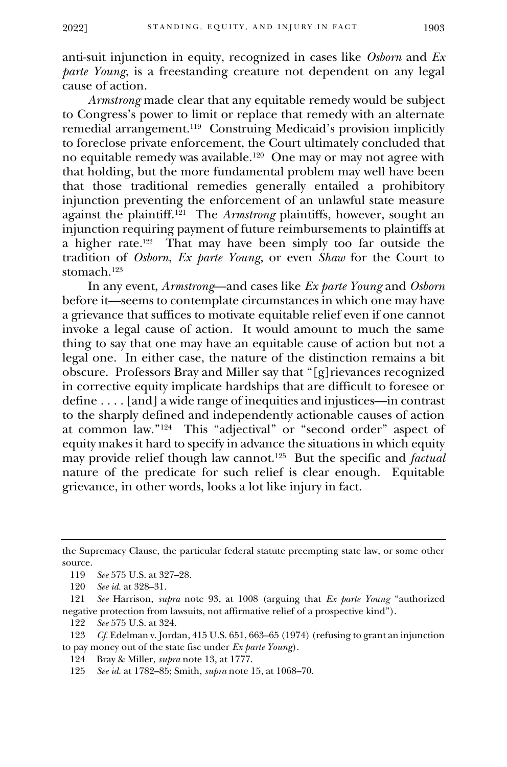anti-suit injunction in equity, recognized in cases like *Osborn* and *Ex parte Young*, is a freestanding creature not dependent on any legal cause of action.

*Armstrong* made clear that any equitable remedy would be subject to Congress's power to limit or replace that remedy with an alternate remedial arrangement.<sup>119</sup> Construing Medicaid's provision implicitly to foreclose private enforcement, the Court ultimately concluded that no equitable remedy was available.<sup>120</sup> One may or may not agree with that holding, but the more fundamental problem may well have been that those traditional remedies generally entailed a prohibitory injunction preventing the enforcement of an unlawful state measure against the plaintiff.<sup>121</sup> The *Armstrong* plaintiffs, however, sought an injunction requiring payment of future reimbursements to plaintiffs at a higher rate.<sup>122</sup> That may have been simply too far outside the tradition of *Osborn*, *Ex parte Young*, or even *Shaw* for the Court to stomach.<sup>123</sup>

In any event, *Armstrong*—and cases like *Ex parte Young* and *Osborn* before it—seems to contemplate circumstances in which one may have a grievance that suffices to motivate equitable relief even if one cannot invoke a legal cause of action. It would amount to much the same thing to say that one may have an equitable cause of action but not a legal one. In either case, the nature of the distinction remains a bit obscure. Professors Bray and Miller say that "[g]rievances recognized in corrective equity implicate hardships that are difficult to foresee or define . . . . [and] a wide range of inequities and injustices—in contrast to the sharply defined and independently actionable causes of action at common law."<sup>124</sup> This "adjectival" or "second order" aspect of equity makes it hard to specify in advance the situations in which equity may provide relief though law cannot.<sup>125</sup> But the specific and *factual*  nature of the predicate for such relief is clear enough. Equitable grievance, in other words, looks a lot like injury in fact.

the Supremacy Clause, the particular federal statute preempting state law, or some other source.

<sup>119</sup> *See* 575 U.S. at 327–28.

<sup>120</sup> *See id.* at 328–31.

<sup>121</sup> *See* Harrison, *supra* note 93, at 1008 (arguing that *Ex parte Young* "authorized negative protection from lawsuits, not affirmative relief of a prospective kind").

<sup>122</sup> *See* 575 U.S. at 324.

<sup>123</sup> *Cf.* Edelman v. Jordan, 415 U.S. 651, 663–65 (1974) (refusing to grant an injunction to pay money out of the state fisc under *Ex parte Young*).

<sup>124</sup> Bray & Miller, *supra* note 13, at 1777.

<sup>125</sup> *See id.* at 1782–85; Smith, *supra* note [15,](#page-3-0) at 1068–70.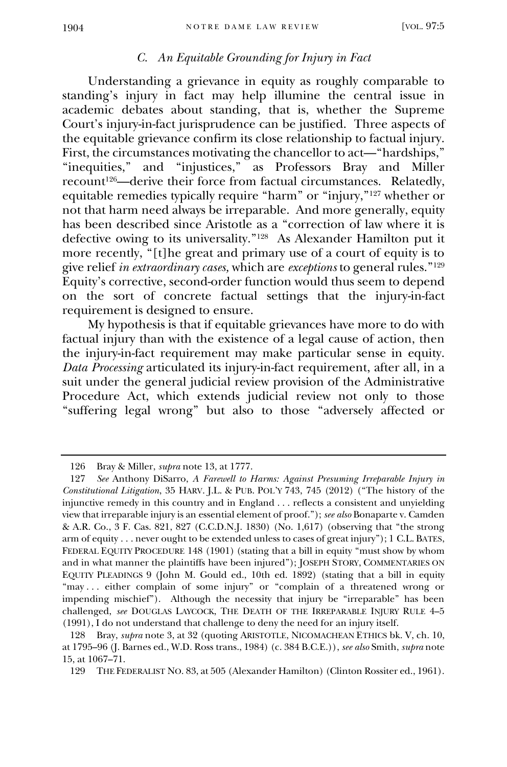## *C. An Equitable Grounding for Injury in Fact*

Understanding a grievance in equity as roughly comparable to standing's injury in fact may help illumine the central issue in academic debates about standing, that is, whether the Supreme Court's injury-in-fact jurisprudence can be justified. Three aspects of the equitable grievance confirm its close relationship to factual injury. First, the circumstances motivating the chancellor to act—"hardships," "inequities," and "injustices," as Professors Bray and Miller recount<sup>126</sup>—derive their force from factual circumstances. Relatedly, equitable remedies typically require "harm" or "injury,"<sup>127</sup> whether or not that harm need always be irreparable. And more generally, equity has been described since Aristotle as a "correction of law where it is defective owing to its universality."<sup>128</sup> As Alexander Hamilton put it more recently, "[t]he great and primary use of a court of equity is to give relief *in extraordinary cases,* which are *exceptions* to general rules."<sup>129</sup> Equity's corrective, second-order function would thus seem to depend on the sort of concrete factual settings that the injury-in-fact requirement is designed to ensure.

My hypothesis is that if equitable grievances have more to do with factual injury than with the existence of a legal cause of action, then the injury-in-fact requirement may make particular sense in equity. *Data Processing* articulated its injury-in-fact requirement, after all, in a suit under the general judicial review provision of the Administrative Procedure Act, which extends judicial review not only to those "suffering legal wrong" but also to those "adversely affected or

<sup>126</sup> Bray & Miller, *supra* note 13, at 1777.

<sup>127</sup> *See* Anthony DiSarro, *A Farewell to Harms: Against Presuming Irreparable Injury in Constitutional Litigation*, 35 HARV. J.L. & PUB. POL'Y 743, 745 (2012) ("The history of the injunctive remedy in this country and in England . . . reflects a consistent and unyielding view that irreparable injury is an essential element of proof."); *see also* Bonaparte v. Camden & A.R. Co., 3 F. Cas. 821, 827 (C.C.D.N.J. 1830) (No. 1,617) (observing that "the strong arm of equity . . . never ought to be extended unless to cases of great injury"); 1 C.L. BATES, FEDERAL EQUITY PROCEDURE 148 (1901) (stating that a bill in equity "must show by whom and in what manner the plaintiffs have been injured"); JOSEPH STORY, COMMENTARIES ON EQUITY PLEADINGS 9 (John M. Gould ed., 10th ed. 1892) (stating that a bill in equity "may . . . either complain of some injury" or "complain of a threatened wrong or impending mischief"). Although the necessity that injury be "irreparable" has been challenged, *see* DOUGLAS LAYCOCK, THE DEATH OF THE IRREPARABLE INJURY RULE 4–5 (1991), I do not understand that challenge to deny the need for an injury itself.

<sup>128</sup> Bray, *supra* note 3, at 32 (quoting ARISTOTLE, NICOMACHEAN ETHICS bk. V, ch. 10, at 1795–96 (J. Barnes ed., W.D. Ross trans., 1984) (c. 384 B.C.E.)), *see also* Smith, *supra* note [15,](#page-3-0) at 1067–71.

<sup>129</sup> THE FEDERALIST NO. 83, at 505 (Alexander Hamilton) (Clinton Rossiter ed., 1961).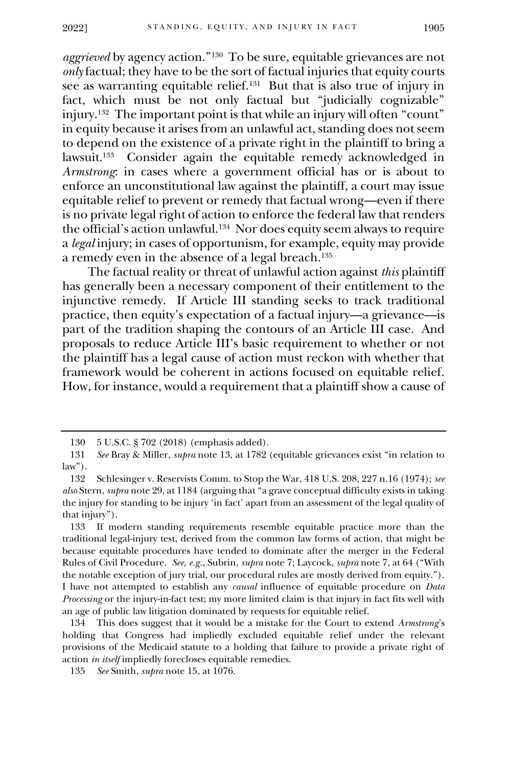*aggrieved* by agency action."<sup>130</sup> To be sure, equitable grievances are not *only* factual; they have to be the sort of factual injuries that equity courts see as warranting equitable relief.<sup>131</sup> But that is also true of injury in fact, which must be not only factual but "judicially cognizable" injury.<sup>132</sup> The important point is that while an injury will often "count" in equity because it arises from an unlawful act, standing does not seem to depend on the existence of a private right in the plaintiff to bring a lawsuit.<sup>133</sup> Consider again the equitable remedy acknowledged in *Armstrong*: in cases where a government official has or is about to enforce an unconstitutional law against the plaintiff, a court may issue equitable relief to prevent or remedy that factual wrong—even if there is no private legal right of action to enforce the federal law that renders the official's action unlawful.<sup>134</sup> Nor does equity seem always to require a *legal* injury; in cases of opportunism, for example, equity may provide a remedy even in the absence of a legal breach.<sup>135</sup>

The factual reality or threat of unlawful action against *this* plaintiff has generally been a necessary component of their entitlement to the injunctive remedy. If Article III standing seeks to track traditional practice, then equity's expectation of a factual injury—a grievance—is part of the tradition shaping the contours of an Article III case. And proposals to reduce Article III's basic requirement to whether or not the plaintiff has a legal cause of action must reckon with whether that framework would be coherent in actions focused on equitable relief. How, for instance, would a requirement that a plaintiff show a cause of

<sup>130</sup> 5 U.S.C. § 702 (2018) (emphasis added).

<sup>131</sup> *See* Bray & Miller, *supra* note 13, at 1782 (equitable grievances exist "in relation to law").

<sup>132</sup> Schlesinger v. Reservists Comm. to Stop the War, 418 U.S. 208, 227 n.16 (1974); *see also* Stern, *supra* note 29, at 1184 (arguing that "a grave conceptual difficulty exists in taking the injury for standing to be injury 'in fact' apart from an assessment of the legal quality of that injury").

<sup>133</sup> If modern standing requirements resemble equitable practice more than the traditional legal-injury test, derived from the common law forms of action, that might be because equitable procedures have tended to dominate after the merger in the Federal Rules of Civil Procedure. *See, e.g.*, Subrin, *supra* note 7; Laycock, *supra* note 7, at 64 ("With the notable exception of jury trial, our procedural rules are mostly derived from equity."). I have not attempted to establish any *causal* influence of equitable procedure on *Data Processing* or the injury-in-fact test; my more limited claim is that injury in fact fits well with an age of public law litigation dominated by requests for equitable relief.

<sup>134</sup> This does suggest that it would be a mistake for the Court to extend *Armstrong*'s holding that Congress had impliedly excluded equitable relief under the relevant provisions of the Medicaid statute to a holding that failure to provide a private right of action *in itself* impliedly forecloses equitable remedies.

<sup>135</sup> *See* Smith, *supra* not[e 15,](#page-3-0) at 1076.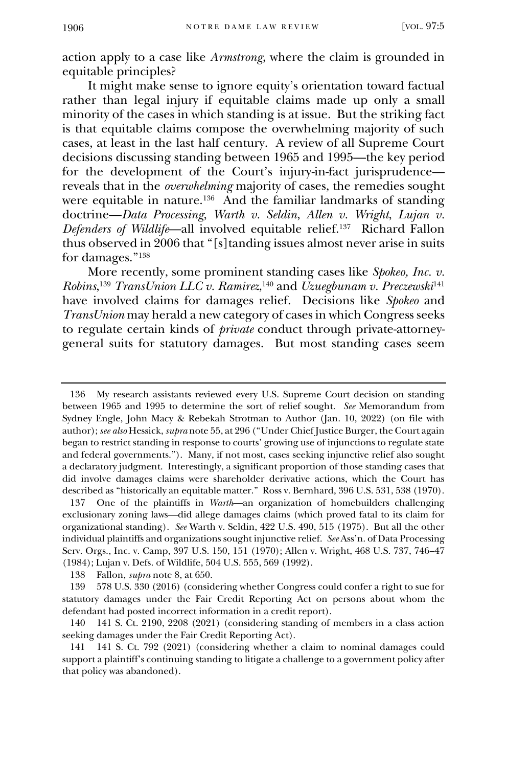action apply to a case like *Armstrong*, where the claim is grounded in equitable principles?

It might make sense to ignore equity's orientation toward factual rather than legal injury if equitable claims made up only a small minority of the cases in which standing is at issue. But the striking fact is that equitable claims compose the overwhelming majority of such cases, at least in the last half century. A review of all Supreme Court decisions discussing standing between 1965 and 1995—the key period for the development of the Court's injury-in-fact jurisprudence reveals that in the *overwhelming* majority of cases, the remedies sought were equitable in nature.<sup>136</sup> And the familiar landmarks of standing doctrine—*Data Processing*, *Warth v. Seldin*, *Allen v. Wright*, *Lujan v. Defenders of Wildlife*—all involved equitable relief.<sup>137</sup> Richard Fallon thus observed in 2006 that "[s]tanding issues almost never arise in suits for damages."<sup>138</sup>

More recently, some prominent standing cases like *Spokeo, Inc. v. Robins*, <sup>139</sup> *TransUnion LLC v. Ramirez*, <sup>140</sup> and *Uzuegbunam v. Preczewski*<sup>141</sup> have involved claims for damages relief. Decisions like *Spokeo* and *TransUnion* may herald a new category of cases in which Congress seeks to regulate certain kinds of *private* conduct through private-attorneygeneral suits for statutory damages. But most standing cases seem

136 My research assistants reviewed every U.S. Supreme Court decision on standing between 1965 and 1995 to determine the sort of relief sought. *See* Memorandum from Sydney Engle, John Macy & Rebekah Strotman to Author (Jan. 10, 2022) (on file with author); *see also* Hessick, *supra* not[e 55](#page-8-0), at 296 ("Under Chief Justice Burger, the Court again began to restrict standing in response to courts' growing use of injunctions to regulate state and federal governments."). Many, if not most, cases seeking injunctive relief also sought a declaratory judgment. Interestingly, a significant proportion of those standing cases that did involve damages claims were shareholder derivative actions, which the Court has described as "historically an equitable matter." Ross v. Bernhard, 396 U.S. 531, 538 (1970).

137 One of the plaintiffs in *Warth*—an organization of homebuilders challenging exclusionary zoning laws—did allege damages claims (which proved fatal to its claim for organizational standing). *See* Warth v. Seldin, 422 U.S. 490, 515 (1975). But all the other individual plaintiffs and organizations sought injunctive relief. *See* Ass'n. of Data Processing Serv. Orgs., Inc. v. Camp, 397 U.S. 150, 151 (1970); Allen v. Wright, 468 U.S. 737, 746–47 (1984); Lujan v. Defs. of Wildlife, 504 U.S. 555, 569 (1992).

138 Fallon, *supra* note 8, at 650.

139 578 U.S. 330 (2016) (considering whether Congress could confer a right to sue for statutory damages under the Fair Credit Reporting Act on persons about whom the defendant had posted incorrect information in a credit report).

140 141 S. Ct. 2190, 2208 (2021) (considering standing of members in a class action seeking damages under the Fair Credit Reporting Act).

141 141 S. Ct. 792 (2021) (considering whether a claim to nominal damages could support a plaintiff's continuing standing to litigate a challenge to a government policy after that policy was abandoned).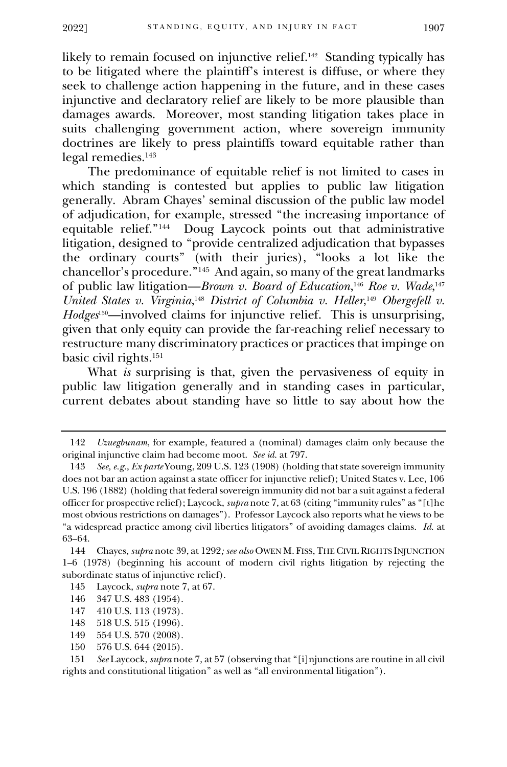likely to remain focused on injunctive relief.<sup>142</sup> Standing typically has to be litigated where the plaintiff's interest is diffuse, or where they seek to challenge action happening in the future, and in these cases injunctive and declaratory relief are likely to be more plausible than damages awards. Moreover, most standing litigation takes place in suits challenging government action, where sovereign immunity doctrines are likely to press plaintiffs toward equitable rather than legal remedies.<sup>143</sup>

The predominance of equitable relief is not limited to cases in which standing is contested but applies to public law litigation generally. Abram Chayes' seminal discussion of the public law model of adjudication, for example, stressed "the increasing importance of equitable relief."<sup>144</sup> Doug Laycock points out that administrative litigation, designed to "provide centralized adjudication that bypasses the ordinary courts" (with their juries), "looks a lot like the chancellor's procedure."<sup>145</sup> And again, so many of the great landmarks of public law litigation—*Brown v. Board of Education*, <sup>146</sup> *Roe v. Wade*, 147 *United States v. Virginia*,<sup>148</sup> *District of Columbia v. Heller*,<sup>149</sup> *Obergefell v. Hodges*150—involved claims for injunctive relief. This is unsurprising, given that only equity can provide the far-reaching relief necessary to restructure many discriminatory practices or practices that impinge on basic civil rights.<sup>151</sup>

What *is* surprising is that, given the pervasiveness of equity in public law litigation generally and in standing cases in particular, current debates about standing have so little to say about how the

<sup>142</sup> *Uzuegbunam*, for example, featured a (nominal) damages claim only because the original injunctive claim had become moot. *See id.* at 797.

<sup>143</sup> *See, e.g.*, *Ex parte* Young, 209 U.S. 123 (1908) (holding that state sovereign immunity does not bar an action against a state officer for injunctive relief); United States v. Lee, 106 U.S. 196 (1882) (holding that federal sovereign immunity did not bar a suit against a federal officer for prospective relief); Laycock, *supra* note 7, at 63 (citing "immunity rules" as "[t]he most obvious restrictions on damages"). Professor Laycock also reports what he views to be "a widespread practice among civil liberties litigators" of avoiding damages claims. *Id.* at 63–64.

<sup>144</sup> Chayes, *supra* note 39, at 1292*; see also* OWEN M. FISS,THE CIVIL RIGHTS INJUNCTION 1–6 (1978) (beginning his account of modern civil rights litigation by rejecting the subordinate status of injunctive relief).

<sup>145</sup> Laycock, *supra* note 7, at 67.

<sup>146</sup> 347 U.S. 483 (1954).

<sup>147</sup> 410 U.S. 113 (1973).

<sup>148</sup> 518 U.S. 515 (1996).

<sup>149</sup> 554 U.S. 570 (2008).

<sup>150</sup> 576 U.S. 644 (2015).

<sup>151</sup> *See* Laycock, *supra* note 7, at 57 (observing that "[i]njunctions are routine in all civil rights and constitutional litigation" as well as "all environmental litigation").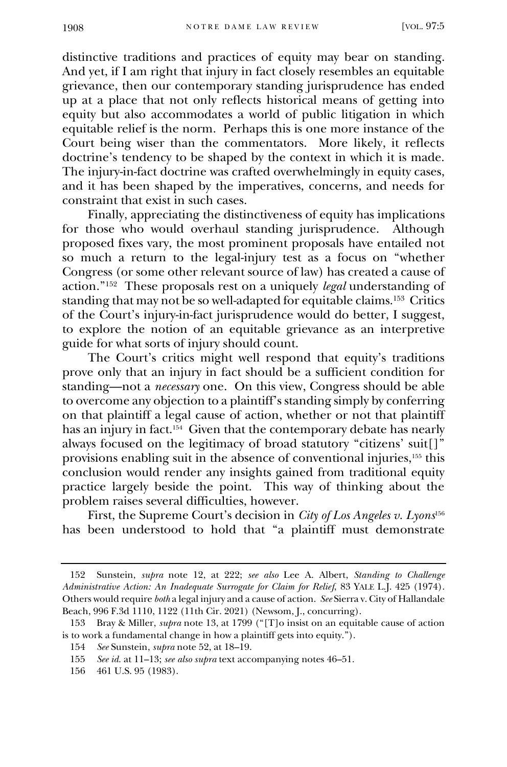distinctive traditions and practices of equity may bear on standing. And yet, if I am right that injury in fact closely resembles an equitable grievance, then our contemporary standing jurisprudence has ended up at a place that not only reflects historical means of getting into equity but also accommodates a world of public litigation in which equitable relief is the norm. Perhaps this is one more instance of the Court being wiser than the commentators. More likely, it reflects doctrine's tendency to be shaped by the context in which it is made. The injury-in-fact doctrine was crafted overwhelmingly in equity cases, and it has been shaped by the imperatives, concerns, and needs for constraint that exist in such cases.

Finally, appreciating the distinctiveness of equity has implications for those who would overhaul standing jurisprudence. Although proposed fixes vary, the most prominent proposals have entailed not so much a return to the legal-injury test as a focus on "whether Congress (or some other relevant source of law) has created a cause of action."<sup>152</sup> These proposals rest on a uniquely *legal* understanding of standing that may not be so well-adapted for equitable claims.<sup>153</sup> Critics of the Court's injury-in-fact jurisprudence would do better, I suggest, to explore the notion of an equitable grievance as an interpretive guide for what sorts of injury should count.

The Court's critics might well respond that equity's traditions prove only that an injury in fact should be a sufficient condition for standing—not a *necessary* one. On this view, Congress should be able to overcome any objection to a plaintiff's standing simply by conferring on that plaintiff a legal cause of action, whether or not that plaintiff has an injury in fact.<sup>154</sup> Given that the contemporary debate has nearly always focused on the legitimacy of broad statutory "citizens' suit[]" provisions enabling suit in the absence of conventional injuries,<sup>155</sup> this conclusion would render any insights gained from traditional equity practice largely beside the point. This way of thinking about the problem raises several difficulties, however.

First, the Supreme Court's decision in *City of Los Angeles v. Lyons*<sup>156</sup> has been understood to hold that "a plaintiff must demonstrate

<sup>152</sup> Sunstein, *supra* note 12, at 222; *see also* Lee A. Albert, *Standing to Challenge Administrative Action: An Inadequate Surrogate for Claim for Relief*, 83 YALE L.J. 425 (1974). Others would require *both* a legal injury and a cause of action. *See* Sierra v. City of Hallandale Beach, 996 F.3d 1110, 1122 (11th Cir. 2021) (Newsom, J., concurring).

<sup>153</sup> Bray & Miller, *supra* note 13, at 1799 ("[T]o insist on an equitable cause of action is to work a fundamental change in how a plaintiff gets into equity.").

<sup>154</sup> *See* Sunstein, *supra* not[e 52,](#page-8-1) at 18–19.

<sup>155</sup> *See id.* at 11–13; *see also supra* text accompanying notes 46–51.

<sup>156</sup> 461 U.S. 95 (1983).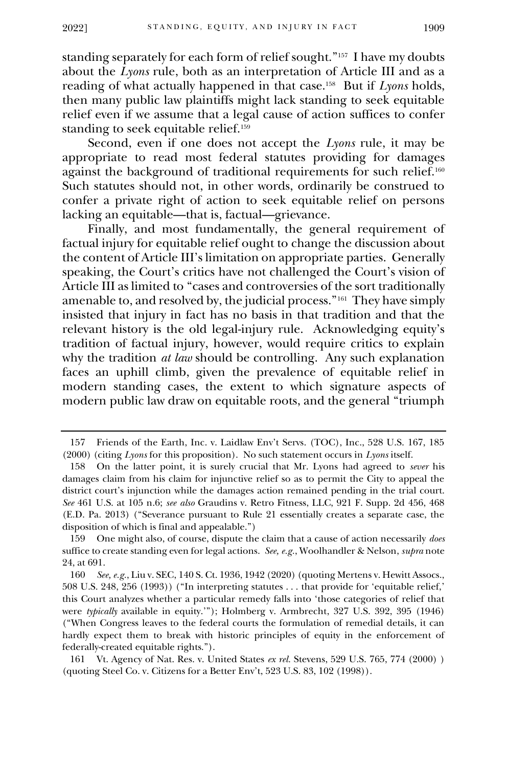standing separately for each form of relief sought."<sup>157</sup> I have my doubts about the *Lyons* rule, both as an interpretation of Article III and as a reading of what actually happened in that case.<sup>158</sup> But if *Lyons* holds, then many public law plaintiffs might lack standing to seek equitable relief even if we assume that a legal cause of action suffices to confer standing to seek equitable relief.<sup>159</sup>

Second, even if one does not accept the *Lyons* rule, it may be appropriate to read most federal statutes providing for damages against the background of traditional requirements for such relief.<sup>160</sup> Such statutes should not, in other words, ordinarily be construed to confer a private right of action to seek equitable relief on persons lacking an equitable—that is, factual—grievance.

Finally, and most fundamentally, the general requirement of factual injury for equitable relief ought to change the discussion about the content of Article III's limitation on appropriate parties. Generally speaking, the Court's critics have not challenged the Court's vision of Article III as limited to "cases and controversies of the sort traditionally amenable to, and resolved by, the judicial process."<sup>161</sup> They have simply insisted that injury in fact has no basis in that tradition and that the relevant history is the old legal-injury rule. Acknowledging equity's tradition of factual injury, however, would require critics to explain why the tradition *at law* should be controlling. Any such explanation faces an uphill climb, given the prevalence of equitable relief in modern standing cases, the extent to which signature aspects of modern public law draw on equitable roots, and the general "triumph

<sup>157</sup> Friends of the Earth, Inc. v. Laidlaw Env't Servs. (TOC), Inc., 528 U.S. 167, 185 (2000) (citing *Lyons* for this proposition). No such statement occurs in *Lyons* itself.

<sup>158</sup> On the latter point, it is surely crucial that Mr. Lyons had agreed to *sever* his damages claim from his claim for injunctive relief so as to permit the City to appeal the district court's injunction while the damages action remained pending in the trial court. *See* 461 U.S. at 105 n.6; *see also* Graudins v. Retro Fitness, LLC, 921 F. Supp. 2d 456, 468 (E.D. Pa. 2013) ("Severance pursuant to Rule 21 essentially creates a separate case, the disposition of which is final and appealable.")

<sup>159</sup> One might also, of course, dispute the claim that a cause of action necessarily *does* suffice to create standing even for legal actions. *See, e.g.*, Woolhandler & Nelson, *supra* note [24,](#page-4-0) at 691.

<sup>160</sup> *See, e.g.*, Liu v. SEC, 140 S. Ct. 1936, 1942 (2020) (quoting Mertens v. Hewitt Assocs., 508 U.S. 248, 256 (1993)) ("In interpreting statutes . . . that provide for 'equitable relief,' this Court analyzes whether a particular remedy falls into 'those categories of relief that were *typically* available in equity.'"); Holmberg v. Armbrecht, 327 U.S. 392, 395 (1946) ("When Congress leaves to the federal courts the formulation of remedial details, it can hardly expect them to break with historic principles of equity in the enforcement of federally-created equitable rights.").

<sup>161</sup> Vt. Agency of Nat. Res. v. United States *ex rel.* Stevens, 529 U.S. 765, 774 (2000) ) (quoting Steel Co. v. Citizens for a Better Env't, 523 U.S. 83, 102 (1998)).